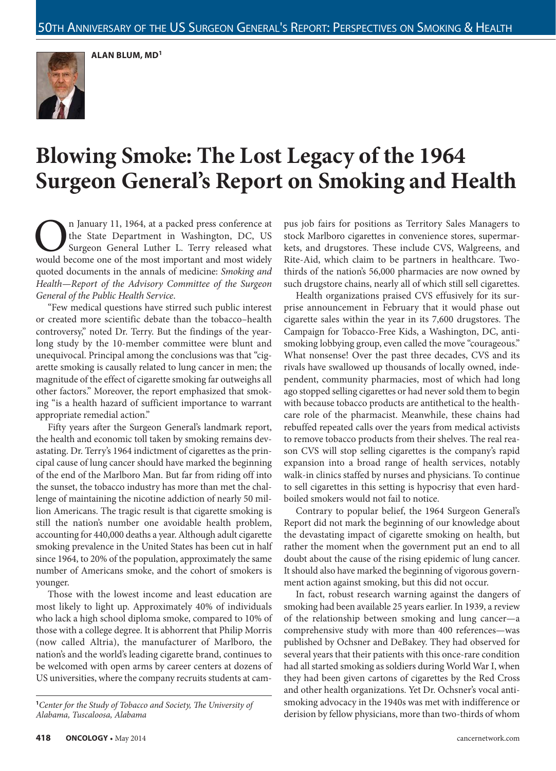**ALAN BLUM, MD1**



# **Blowing Smoke: The Lost Legacy of the 1964 Surgeon General's Report on Smoking and Health**

**On** January 11, 1964, at a packed press conference at the State Department in Washington, DC, US Surgeon General Luther L. Terry released what would become one of the most important and most widely the State Department in Washington, DC, US Surgeon General Luther L. Terry released what would become one of the most important and most widely quoted documents in the annals of medicine: *Smoking and Health—Report of the Advisory Committee of the Surgeon General of the Public Health Service*.

"Few medical questions have stirred such public interest or created more scientific debate than the tobacco–health controversy," noted Dr. Terry. But the findings of the yearlong study by the 10-member committee were blunt and unequivocal. Principal among the conclusions was that "cigarette smoking is causally related to lung cancer in men; the magnitude of the effect of cigarette smoking far outweighs all other factors." Moreover, the report emphasized that smoking "is a health hazard of sufficient importance to warrant appropriate remedial action."

Fifty years after the Surgeon General's landmark report, the health and economic toll taken by smoking remains devastating. Dr. Terry's 1964 indictment of cigarettes as the principal cause of lung cancer should have marked the beginning of the end of the Marlboro Man. But far from riding off into the sunset, the tobacco industry has more than met the challenge of maintaining the nicotine addiction of nearly 50 million Americans. The tragic result is that cigarette smoking is still the nation's number one avoidable health problem, accounting for 440,000 deaths a year. Although adult cigarette smoking prevalence in the United States has been cut in half since 1964, to 20% of the population, approximately the same number of Americans smoke, and the cohort of smokers is younger.

Those with the lowest income and least education are most likely to light up. Approximately 40% of individuals who lack a high school diploma smoke, compared to 10% of those with a college degree. It is abhorrent that Philip Morris (now called Altria), the manufacturer of Marlboro, the nation's and the world's leading cigarette brand, continues to be welcomed with open arms by career centers at dozens of US universities, where the company recruits students at cam-

**<sup>1</sup>***Center for the Study of Tobacco and Society, The University of Alabama, Tuscaloosa, Alabama* 

pus job fairs for positions as Territory Sales Managers to stock Marlboro cigarettes in convenience stores, supermarkets, and drugstores. These include CVS, Walgreens, and Rite-Aid, which claim to be partners in healthcare. Twothirds of the nation's 56,000 pharmacies are now owned by such drugstore chains, nearly all of which still sell cigarettes.

Health organizations praised CVS effusively for its surprise announcement in February that it would phase out cigarette sales within the year in its 7,600 drugstores. The Campaign for Tobacco-Free Kids, a Washington, DC, antismoking lobbying group, even called the move "courageous." What nonsense! Over the past three decades, CVS and its rivals have swallowed up thousands of locally owned, independent, community pharmacies, most of which had long ago stopped selling cigarettes or had never sold them to begin with because tobacco products are antithetical to the healthcare role of the pharmacist. Meanwhile, these chains had rebuffed repeated calls over the years from medical activists to remove tobacco products from their shelves. The real reason CVS will stop selling cigarettes is the company's rapid expansion into a broad range of health services, notably walk-in clinics staffed by nurses and physicians. To continue to sell cigarettes in this setting is hypocrisy that even hardboiled smokers would not fail to notice.

Contrary to popular belief, the 1964 Surgeon General's Report did not mark the beginning of our knowledge about the devastating impact of cigarette smoking on health, but rather the moment when the government put an end to all doubt about the cause of the rising epidemic of lung cancer. It should also have marked the beginning of vigorous government action against smoking, but this did not occur.

In fact, robust research warning against the dangers of smoking had been available 25 years earlier. In 1939, a review of the relationship between smoking and lung cancer—a comprehensive study with more than 400 references—was published by Ochsner and DeBakey. They had observed for several years that their patients with this once-rare condition had all started smoking as soldiers during World War I, when they had been given cartons of cigarettes by the Red Cross and other health organizations. Yet Dr. Ochsner's vocal antismoking advocacy in the 1940s was met with indifference or derision by fellow physicians, more than two-thirds of whom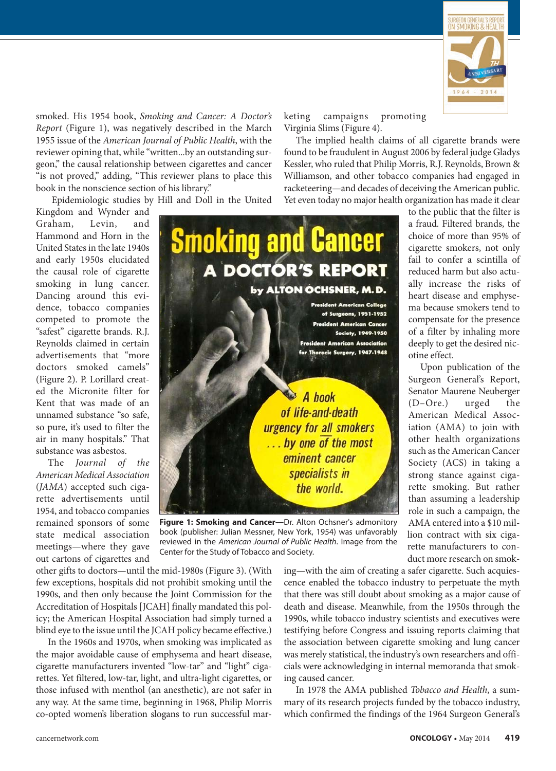

smoked. His 1954 book, *Smoking and Cancer: A Doctor's Report* (Figure 1), was negatively described in the March 1955 issue of the *American Journal of Public Health*, with the reviewer opining that, while "written...by an outstanding surgeon," the causal relationship between cigarettes and cancer "is not proved," adding, "This reviewer plans to place this book in the nonscience section of his library."

Epidemiologic studies by Hill and Doll in the United

Kingdom and Wynder and Graham, Levin, and Hammond and Horn in the United States in the late 1940s and early 1950s elucidated the causal role of cigarette smoking in lung cancer. Dancing around this evidence, tobacco companies competed to promote the "safest" cigarette brands. R.J. Reynolds claimed in certain advertisements that "more doctors smoked camels" (Figure 2). P. Lorillard created the Micronite filter for Kent that was made of an unnamed substance "so safe, so pure, it's used to filter the air in many hospitals." That substance was asbestos.

The *Journal of the American Medical Association* (*JAMA*) accepted such cigarette advertisements until 1954, and tobacco companies remained sponsors of some state medical association meetings—where they gave out cartons of cigarettes and



**Figure 1: Smoking and Cancer—**Dr. Alton Ochsner's admonitory book (publisher: Julian Messner, New York, 1954) was unfavorably reviewed in the *American Journal of Public Health*. Image from the Center for the Study of Tobacco and Society.

other gifts to doctors—until the mid-1980s (Figure 3). (With few exceptions, hospitals did not prohibit smoking until the 1990s, and then only because the Joint Commission for the Accreditation of Hospitals [JCAH] finally mandated this policy; the American Hospital Association had simply turned a blind eye to the issue until the JCAH policy became effective.)

In the 1960s and 1970s, when smoking was implicated as the major avoidable cause of emphysema and heart disease, cigarette manufacturers invented "low-tar" and "light" cigarettes. Yet filtered, low-tar, light, and ultra-light cigarettes, or those infused with menthol (an anesthetic), are not safer in any way. At the same time, beginning in 1968, Philip Morris co-opted women's liberation slogans to run successful marketing campaigns promoting Virginia Slims (Figure 4).

The implied health claims of all cigarette brands were found to be fraudulent in August 2006 by federal judge Gladys Kessler, who ruled that Philip Morris, R.J. Reynolds, Brown & Williamson, and other tobacco companies had engaged in racketeering—and decades of deceiving the American public. Yet even today no major health organization has made it clear

> to the public that the filter is a fraud. Filtered brands, the choice of more than 95% of cigarette smokers, not only fail to confer a scintilla of reduced harm but also actually increase the risks of heart disease and emphysema because smokers tend to compensate for the presence of a filter by inhaling more deeply to get the desired nicotine effect.

> Upon publication of the Surgeon General's Report, Senator Maurene Neuberger (D–Ore.) urged the American Medical Association (AMA) to join with other health organizations such as the American Cancer Society (ACS) in taking a strong stance against cigarette smoking. But rather than assuming a leadership role in such a campaign, the AMA entered into a \$10 million contract with six cigarette manufacturers to conduct more research on smok-

ing—with the aim of creating a safer cigarette. Such acquiescence enabled the tobacco industry to perpetuate the myth that there was still doubt about smoking as a major cause of death and disease. Meanwhile, from the 1950s through the 1990s, while tobacco industry scientists and executives were testifying before Congress and issuing reports claiming that the association between cigarette smoking and lung cancer was merely statistical, the industry's own researchers and officials were acknowledging in internal memoranda that smoking caused cancer.

In 1978 the AMA published *Tobacco and Health*, a summary of its research projects funded by the tobacco industry, which confirmed the findings of the 1964 Surgeon General's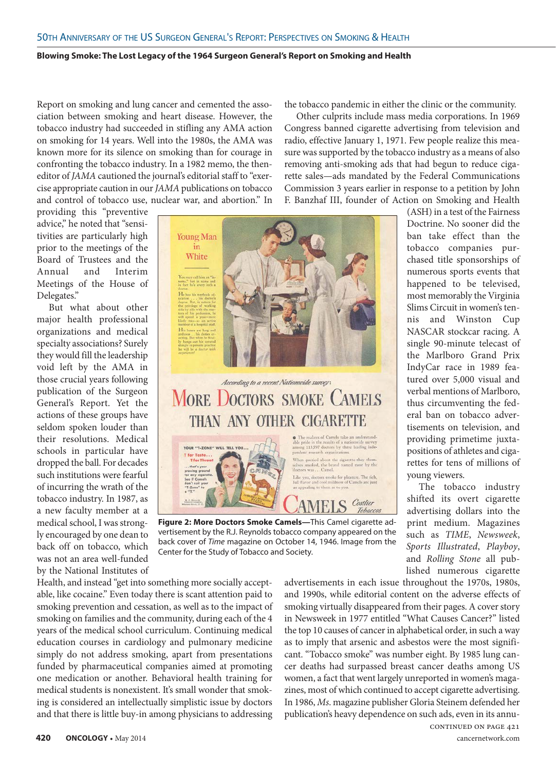### **Blowing Smoke: The Lost Legacy of the 1964 Surgeon General's Report on Smoking and Health**

Report on smoking and lung cancer and cemented the association between smoking and heart disease. However, the tobacco industry had succeeded in stifling any AMA action on smoking for 14 years. Well into the 1980s, the AMA was known more for its silence on smoking than for courage in confronting the tobacco industry. In a 1982 memo, the theneditor of *JAMA* cautioned the journal's editorial staff to "exercise appropriate caution in our *JAMA* publications on tobacco and control of tobacco use, nuclear war, and abortion." In

providing this "preventive advice," he noted that "sensitivities are particularly high prior to the meetings of the Board of Trustees and the Annual and Interim Meetings of the House of Delegates."

But what about other major health professional organizations and medical specialty associations? Surely they would fill the leadership void left by the AMA in those crucial years following publication of the Surgeon General's Report. Yet the actions of these groups have seldom spoken louder than their resolutions. Medical schools in particular have dropped the ball. For decades such institutions were fearful of incurring the wrath of the tobacco industry. In 1987, as a new faculty member at a medical school, I was strongly encouraged by one dean to back off on tobacco, which was not an area well-funded by the National Institutes of



# According to a recent Nationwide survey: **MORE DOCTORS SMOKE ( AMELS THAN ANY OTHER CIGARETTE**



you, doctors smoke for ple **MELS** Costlier

Tobacco.

**Figure 2: More Doctors Smoke Camels—**This Camel cigarette advertisement by the R.J. Reynolds tobacco company appeared on the back cover of *Time* magazine on October 14, 1946. Image from the Center for the Study of Tobacco and Society.

Health, and instead "get into something more socially acceptable, like cocaine." Even today there is scant attention paid to smoking prevention and cessation, as well as to the impact of smoking on families and the community, during each of the 4 years of the medical school curriculum. Continuing medical education courses in cardiology and pulmonary medicine simply do not address smoking, apart from presentations funded by pharmaceutical companies aimed at promoting one medication or another. Behavioral health training for medical students is nonexistent. It's small wonder that smoking is considered an intellectually simplistic issue by doctors and that there is little buy-in among physicians to addressing

and 1990s, while editorial content on the adverse effects of smoking virtually disappeared from their pages. A cover story in Newsweek in 1977 entitled "What Causes Cancer?" listed the top 10 causes of cancer in alphabetical order, in such a way as to imply that arsenic and asbestos were the most significant. "Tobacco smoke" was number eight. By 1985 lung cancer deaths had surpassed breast cancer deaths among US women, a fact that went largely unreported in women's magazines, most of which continued to accept cigarette advertising. In 1986, *Ms*. magazine publisher Gloria Steinem defended her publication's heavy dependence on such ads, even in its annu-

advertisements in each issue throughout the 1970s, 1980s,

the tobacco pandemic in either the clinic or the community.

Other culprits include mass media corporations. In 1969 Congress banned cigarette advertising from television and radio, effective January 1, 1971. Few people realize this measure was supported by the tobacco industry as a means of also removing anti-smoking ads that had begun to reduce cigarette sales—ads mandated by the Federal Communications Commission 3 years earlier in response to a petition by John F. Banzhaf III, founder of Action on Smoking and Health

> (ASH) in a test of the Fairness Doctrine. No sooner did the ban take effect than the tobacco companies purchased title sponsorships of numerous sports events that happened to be televised, most memorably the Virginia Slims Circuit in women's tennis and Winston Cup NASCAR stockcar racing. A single 90-minute telecast of the Marlboro Grand Prix IndyCar race in 1989 featured over 5,000 visual and verbal mentions of Marlboro, thus circumventing the federal ban on tobacco advertisements on television, and providing primetime juxtapositions of athletes and cigarettes for tens of millions of young viewers.

The tobacco industry shifted its overt cigarette advertising dollars into the print medium. Magazines such as *TIME*, *Newsweek*, *Sports Illustrated*, *Playboy*, and *Rolling Stone* all published numerous cigarette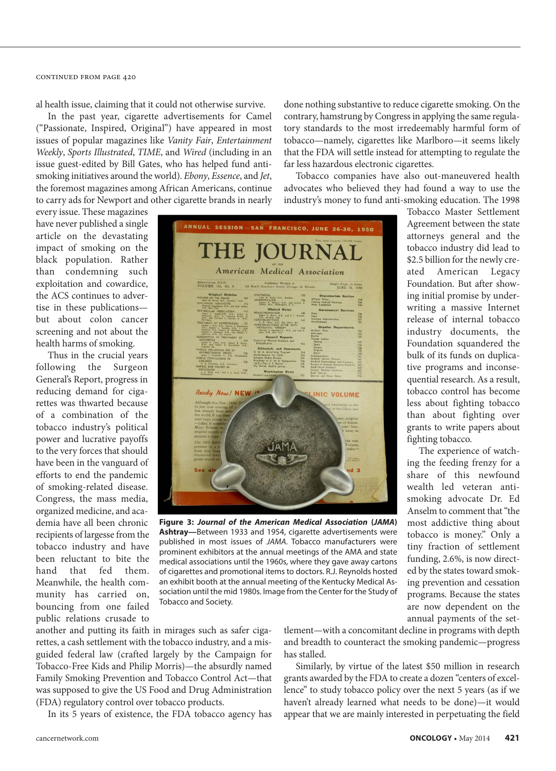al health issue, claiming that it could not otherwise survive.

In the past year, cigarette advertisements for Camel ("Passionate, Inspired, Original") have appeared in most issues of popular magazines like *Vanity Fair*, *Entertainment Weekly*, *Sports Illustrated*, *TIME*, and *Wired* (including in an issue guest-edited by Bill Gates, who has helped fund antismoking initiatives around the world). *Ebony*, *Essence*, and *Jet*, the foremost magazines among African Americans, continue to carry ads for Newport and other cigarette brands in nearly

every issue. These magazines have never published a single article on the devastating impact of smoking on the black population. Rather than condemning such exploitation and cowardice, the ACS continues to advertise in these publications but about colon cancer screening and not about the health harms of smoking.

Thus in the crucial years following the Surgeon General's Report, progress in reducing demand for cigarettes was thwarted because of a combination of the tobacco industry's political power and lucrative payoffs to the very forces that should have been in the vanguard of efforts to end the pandemic of smoking-related disease. Congress, the mass media, organized medicine, and academia have all been chronic recipients of largesse from the tobacco industry and have been reluctant to bite the hand that fed them. Meanwhile, the health community has carried on, bouncing from one failed public relations crusade to



**Figure 3:** *Journal of the American Medical Association* **(***JAMA***) Ashtray—**Between 1933 and 1954, cigarette advertisements were published in most issues of *JAMA*. Tobacco manufacturers were prominent exhibitors at the annual meetings of the AMA and state medical associations until the 1960s, where they gave away cartons of cigarettes and promotional items to doctors. R.J. Reynolds hosted an exhibit booth at the annual meeting of the Kentucky Medical Association until the mid 1980s. Image from the Center for the Study of Tobacco and Society.

done nothing substantive to reduce cigarette smoking. On the contrary, hamstrung by Congress in applying the same regulatory standards to the most irredeemably harmful form of tobacco—namely, cigarettes like Marlboro—it seems likely that the FDA will settle instead for attempting to regulate the far less hazardous electronic cigarettes.

Tobacco companies have also out-maneuvered health advocates who believed they had found a way to use the industry's money to fund anti-smoking education. The 1998

> Tobacco Master Settlement Agreement between the state attorneys general and the tobacco industry did lead to \$2.5 billion for the newly created American Legacy Foundation. But after showing initial promise by underwriting a massive Internet release of internal tobacco industry documents, the Foundation squandered the bulk of its funds on duplicative programs and inconsequential research. As a result, tobacco control has become less about fighting tobacco than about fighting over grants to write papers about fighting tobacco.

> The experience of watching the feeding frenzy for a share of this newfound wealth led veteran antismoking advocate Dr. Ed Anselm to comment that "the most addictive thing about tobacco is money." Only a tiny fraction of settlement funding, 2.6%, is now directed by the states toward smoking prevention and cessation programs. Because the states are now dependent on the annual payments of the set-

another and putting its faith in mirages such as safer cigarettes, a cash settlement with the tobacco industry, and a misguided federal law (crafted largely by the Campaign for Tobacco-Free Kids and Philip Morris)—the absurdly named Family Smoking Prevention and Tobacco Control Act—that was supposed to give the US Food and Drug Administration (FDA) regulatory control over tobacco products.

In its 5 years of existence, the FDA tobacco agency has

tlement—with a concomitant decline in programs with depth and breadth to counteract the smoking pandemic—progress has stalled.

Similarly, by virtue of the latest \$50 million in research grants awarded by the FDA to create a dozen "centers of excellence" to study tobacco policy over the next 5 years (as if we haven't already learned what needs to be done)—it would appear that we are mainly interested in perpetuating the field